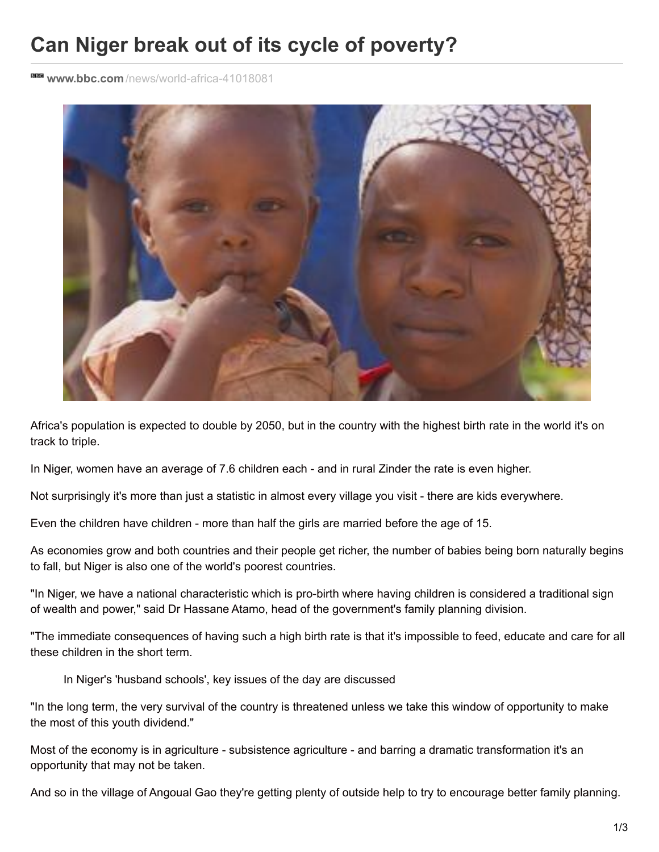## **Can Niger break out of its cycle of poverty?**

**www.bbc.com** [/news/world-africa-41018081](http://www.bbc.com/news/world-africa-41018081)



Africa's population is expected to double by 2050, but in the country with the highest birth rate in the world it's on track to triple.

In Niger, women have an average of 7.6 children each - and in rural Zinder the rate is even higher.

Not surprisingly it's more than just a statistic in almost every village you visit - there are kids everywhere.

Even the children have children - more than half the girls are married before the age of 15.

As economies grow and both countries and their people get richer, the number of babies being born naturally begins to fall, but Niger is also one of the world's poorest countries.

"In Niger, we have a national characteristic which is pro-birth where having children is considered a traditional sign of wealth and power," said Dr Hassane Atamo, head of the government's family planning division.

"The immediate consequences of having such a high birth rate is that it's impossible to feed, educate and care for all these children in the short term.

In Niger's 'husband schools', key issues of the day are discussed

"In the long term, the very survival of the country is threatened unless we take this window of opportunity to make the most of this youth dividend."

Most of the economy is in agriculture - subsistence agriculture - and barring a dramatic transformation it's an opportunity that may not be taken.

And so in the village of Angoual Gao they're getting plenty of outside help to try to encourage better family planning.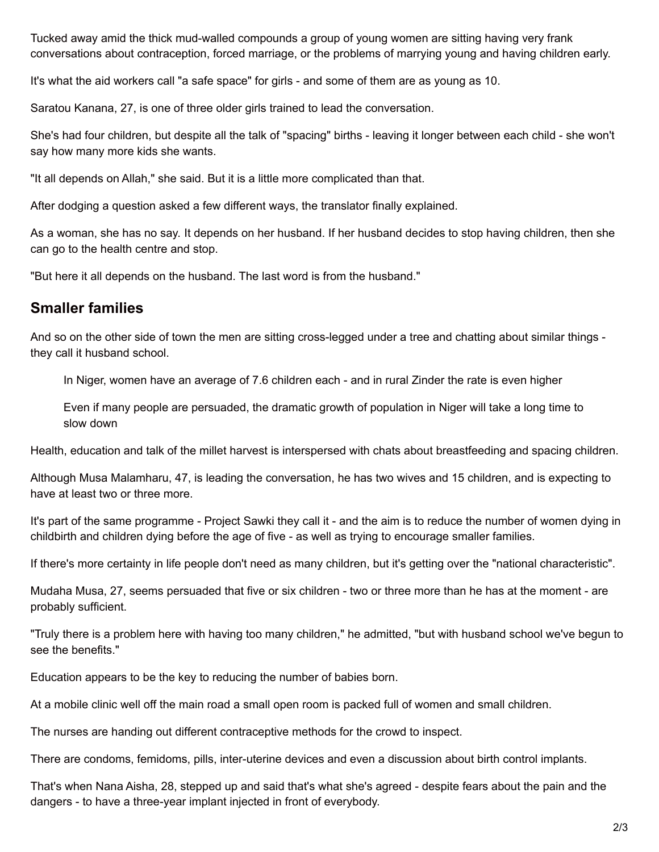Tucked away amid the thick mud-walled compounds a group of young women are sitting having very frank conversations about contraception, forced marriage, or the problems of marrying young and having children early.

It's what the aid workers call "a safe space" for girls - and some of them are as young as 10.

Saratou Kanana, 27, is one of three older girls trained to lead the conversation.

She's had four children, but despite all the talk of "spacing" births - leaving it longer between each child - she won't say how many more kids she wants.

"It all depends on Allah," she said. But it is a little more complicated than that.

After dodging a question asked a few different ways, the translator finally explained.

As a woman, she has no say. It depends on her husband. If her husband decides to stop having children, then she can go to the health centre and stop.

"But here it all depends on the husband. The last word is from the husband."

## **Smaller families**

And so on the other side of town the men are sitting cross-legged under a tree and chatting about similar things they call it husband school.

In Niger, women have an average of 7.6 children each - and in rural Zinder the rate is even higher

Even if many people are persuaded, the dramatic growth of population in Niger will take a long time to slow down

Health, education and talk of the millet harvest is interspersed with chats about breastfeeding and spacing children.

Although Musa Malamharu, 47, is leading the conversation, he has two wives and 15 children, and is expecting to have at least two or three more.

It's part of the same programme - Project Sawki they call it - and the aim is to reduce the number of women dying in childbirth and children dying before the age of five - as well as trying to encourage smaller families.

If there's more certainty in life people don't need as many children, but it's getting over the "national characteristic".

Mudaha Musa, 27, seems persuaded that five or six children - two or three more than he has at the moment - are probably sufficient.

"Truly there is a problem here with having too many children," he admitted, "but with husband school we've begun to see the benefits."

Education appears to be the key to reducing the number of babies born.

At a mobile clinic well off the main road a small open room is packed full of women and small children.

The nurses are handing out different contraceptive methods for the crowd to inspect.

There are condoms, femidoms, pills, inter-uterine devices and even a discussion about birth control implants.

That's when Nana Aisha, 28, stepped up and said that's what she's agreed - despite fears about the pain and the dangers - to have a three-year implant injected in front of everybody.